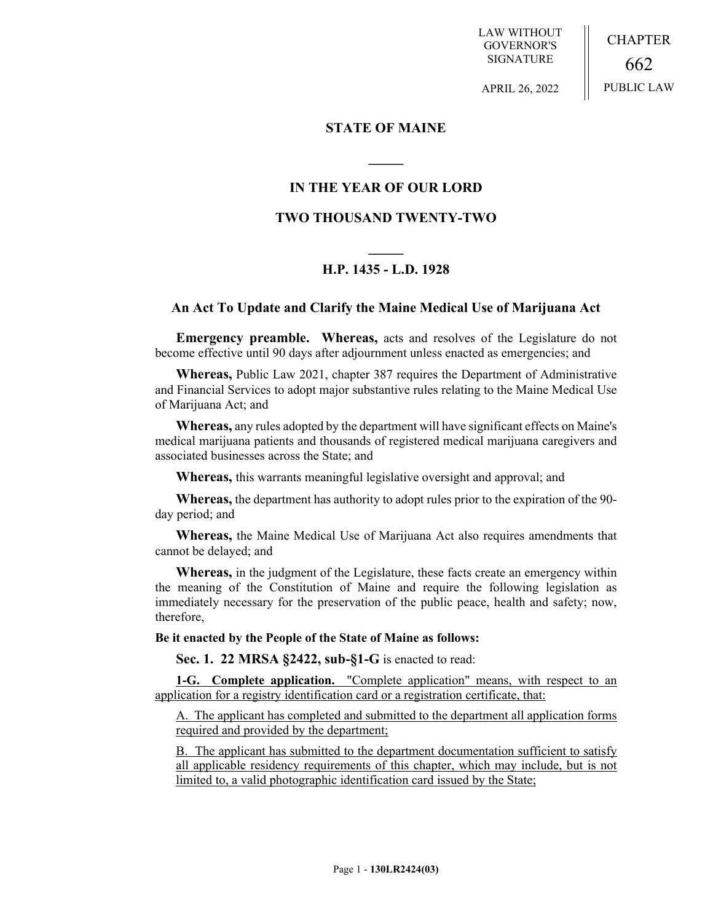LAW WITHOUT GOVERNOR'S SIGNATURE

CHAPTER 662 PUBLIC LAW

APRIL 26, 2022

## **STATE OF MAINE**

# **IN THE YEAR OF OUR LORD**

**\_\_\_\_\_**

# **TWO THOUSAND TWENTY-TWO**

# **\_\_\_\_\_ H.P. 1435 - L.D. 1928**

## **An Act To Update and Clarify the Maine Medical Use of Marijuana Act**

**Emergency preamble. Whereas,** acts and resolves of the Legislature do not become effective until 90 days after adjournment unless enacted as emergencies; and

**Whereas,** Public Law 2021, chapter 387 requires the Department of Administrative and Financial Services to adopt major substantive rules relating to the Maine Medical Use of Marijuana Act; and

**Whereas,** any rules adopted by the department will have significant effects on Maine's medical marijuana patients and thousands of registered medical marijuana caregivers and associated businesses across the State; and

**Whereas,** this warrants meaningful legislative oversight and approval; and

**Whereas,** the department has authority to adopt rules prior to the expiration of the 90 day period; and

**Whereas,** the Maine Medical Use of Marijuana Act also requires amendments that cannot be delayed; and

**Whereas,** in the judgment of the Legislature, these facts create an emergency within the meaning of the Constitution of Maine and require the following legislation as immediately necessary for the preservation of the public peace, health and safety; now, therefore,

**Be it enacted by the People of the State of Maine as follows:**

**Sec. 1. 22 MRSA §2422, sub-§1-G** is enacted to read:

**1-G. Complete application.** "Complete application" means, with respect to an application for a registry identification card or a registration certificate, that:

A. The applicant has completed and submitted to the department all application forms required and provided by the department;

B. The applicant has submitted to the department documentation sufficient to satisfy all applicable residency requirements of this chapter, which may include, but is not limited to, a valid photographic identification card issued by the State;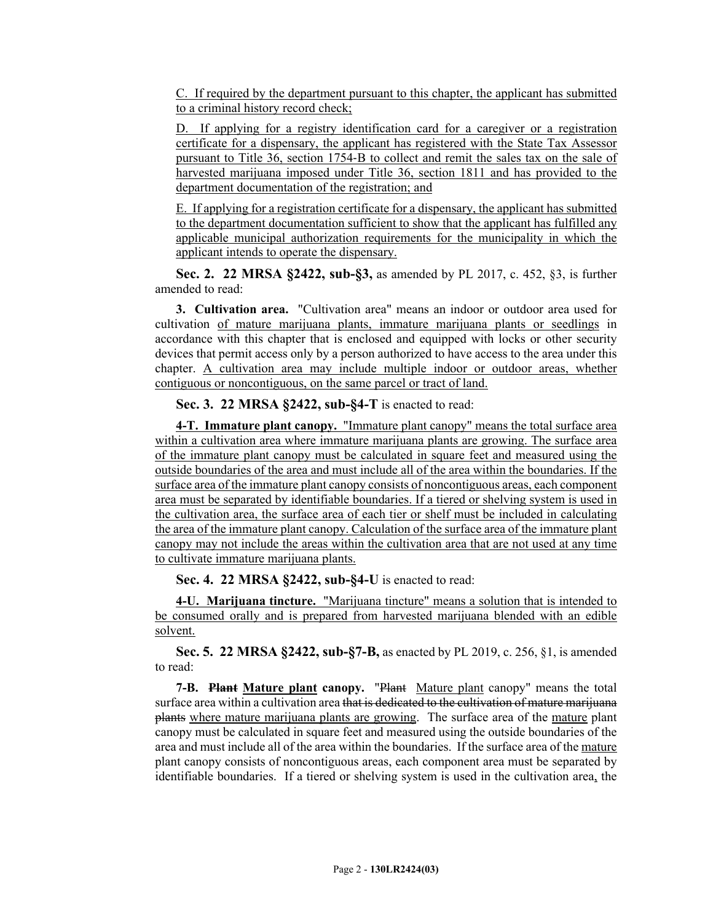C. If required by the department pursuant to this chapter, the applicant has submitted to a criminal history record check;

D. If applying for a registry identification card for a caregiver or a registration certificate for a dispensary, the applicant has registered with the State Tax Assessor pursuant to Title 36, section 1754‑B to collect and remit the sales tax on the sale of harvested marijuana imposed under Title 36, section 1811 and has provided to the department documentation of the registration; and

E. If applying for a registration certificate for a dispensary, the applicant has submitted to the department documentation sufficient to show that the applicant has fulfilled any applicable municipal authorization requirements for the municipality in which the applicant intends to operate the dispensary.

**Sec. 2. 22 MRSA §2422, sub-§3,** as amended by PL 2017, c. 452, §3, is further amended to read:

**3. Cultivation area.** "Cultivation area" means an indoor or outdoor area used for cultivation of mature marijuana plants, immature marijuana plants or seedlings in accordance with this chapter that is enclosed and equipped with locks or other security devices that permit access only by a person authorized to have access to the area under this chapter. A cultivation area may include multiple indoor or outdoor areas, whether contiguous or noncontiguous, on the same parcel or tract of land.

**Sec. 3. 22 MRSA §2422, sub-§4-T** is enacted to read:

**4-T. Immature plant canopy.** "Immature plant canopy" means the total surface area within a cultivation area where immature marijuana plants are growing. The surface area of the immature plant canopy must be calculated in square feet and measured using the outside boundaries of the area and must include all of the area within the boundaries. If the surface area of the immature plant canopy consists of noncontiguous areas, each component area must be separated by identifiable boundaries. If a tiered or shelving system is used in the cultivation area, the surface area of each tier or shelf must be included in calculating the area of the immature plant canopy. Calculation of the surface area of the immature plant canopy may not include the areas within the cultivation area that are not used at any time to cultivate immature marijuana plants.

**Sec. 4. 22 MRSA §2422, sub-§4-U** is enacted to read:

**4-U. Marijuana tincture.** "Marijuana tincture" means a solution that is intended to be consumed orally and is prepared from harvested marijuana blended with an edible solvent.

**Sec. 5. 22 MRSA §2422, sub-§7-B,** as enacted by PL 2019, c. 256, §1, is amended to read:

**7-B.** Plant Mature plant canopy. "Plant Mature plant canopy" means the total surface area within a cultivation area that is dedicated to the cultivation of mature marijuana plants where mature marijuana plants are growing. The surface area of the mature plant canopy must be calculated in square feet and measured using the outside boundaries of the area and must include all of the area within the boundaries. If the surface area of the mature plant canopy consists of noncontiguous areas, each component area must be separated by identifiable boundaries. If a tiered or shelving system is used in the cultivation area, the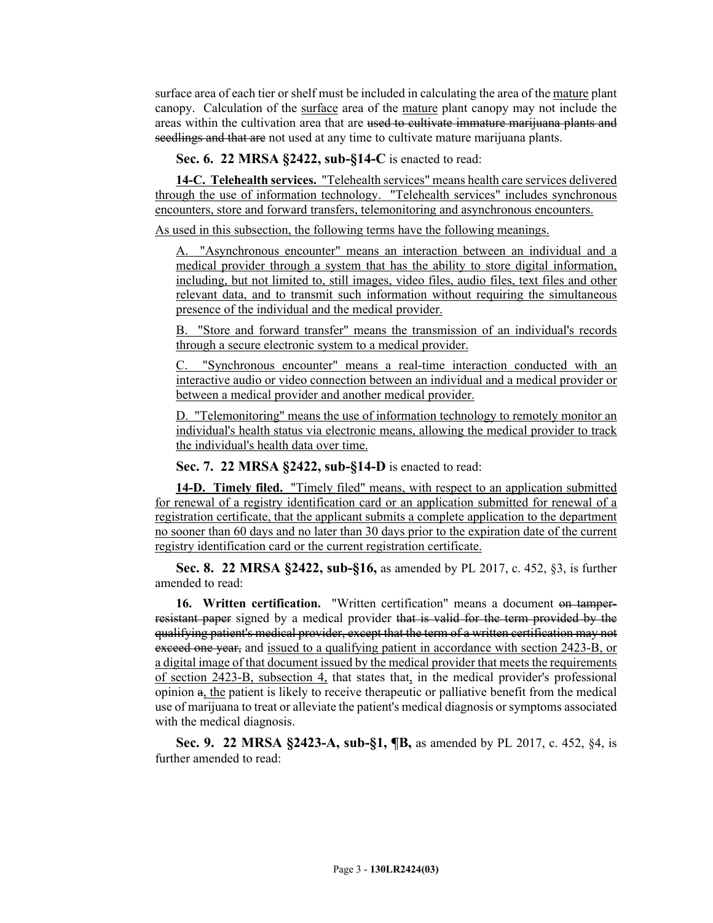surface area of each tier or shelf must be included in calculating the area of the mature plant canopy. Calculation of the surface area of the mature plant canopy may not include the areas within the cultivation area that are used to cultivate immature marijuana plants and seedlings and that are not used at any time to cultivate mature marijuana plants.

**Sec. 6. 22 MRSA §2422, sub-§14-C** is enacted to read:

**14-C. Telehealth services.** "Telehealth services" means health care services delivered through the use of information technology. "Telehealth services" includes synchronous encounters, store and forward transfers, telemonitoring and asynchronous encounters.

As used in this subsection, the following terms have the following meanings.

"Asynchronous encounter" means an interaction between an individual and a medical provider through a system that has the ability to store digital information, including, but not limited to, still images, video files, audio files, text files and other relevant data, and to transmit such information without requiring the simultaneous presence of the individual and the medical provider.

B. "Store and forward transfer" means the transmission of an individual's records through a secure electronic system to a medical provider.

C. "Synchronous encounter" means a real-time interaction conducted with an interactive audio or video connection between an individual and a medical provider or between a medical provider and another medical provider.

D. "Telemonitoring" means the use of information technology to remotely monitor an individual's health status via electronic means, allowing the medical provider to track the individual's health data over time.

**Sec. 7. 22 MRSA §2422, sub-§14-D** is enacted to read:

**14-D. Timely filed.** "Timely filed" means, with respect to an application submitted for renewal of a registry identification card or an application submitted for renewal of a registration certificate, that the applicant submits a complete application to the department no sooner than 60 days and no later than 30 days prior to the expiration date of the current registry identification card or the current registration certificate.

**Sec. 8. 22 MRSA §2422, sub-§16,** as amended by PL 2017, c. 452, §3, is further amended to read:

**16. Written certification.** "Written certification" means a document on tamperresistant paper signed by a medical provider that is valid for the term provided by the qualifying patient's medical provider, except that the term of a written certification may not exceed one year, and issued to a qualifying patient in accordance with section 2423-B, or a digital image of that document issued by the medical provider that meets the requirements of section 2423-B, subsection 4, that states that, in the medical provider's professional opinion a, the patient is likely to receive therapeutic or palliative benefit from the medical use of marijuana to treat or alleviate the patient's medical diagnosis or symptoms associated with the medical diagnosis.

**Sec. 9. 22 MRSA §2423-A, sub-§1, ¶B,** as amended by PL 2017, c. 452, §4, is further amended to read: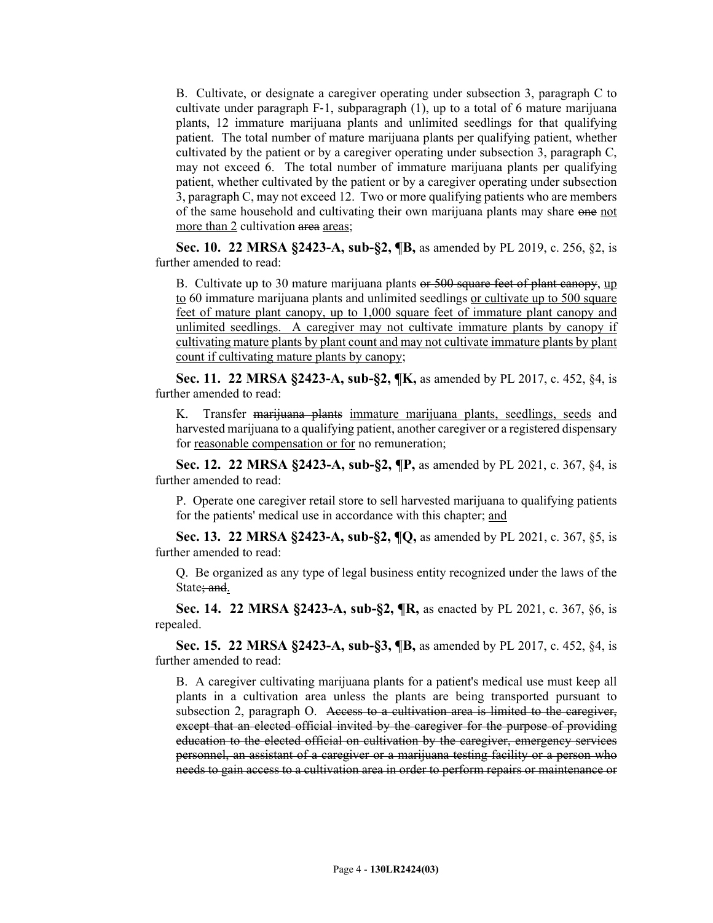B. Cultivate, or designate a caregiver operating under subsection 3, paragraph C to cultivate under paragraph  $F-1$ , subparagraph  $(1)$ , up to a total of 6 mature marijuana plants, 12 immature marijuana plants and unlimited seedlings for that qualifying patient. The total number of mature marijuana plants per qualifying patient, whether cultivated by the patient or by a caregiver operating under subsection 3, paragraph C, may not exceed 6. The total number of immature marijuana plants per qualifying patient, whether cultivated by the patient or by a caregiver operating under subsection 3, paragraph C, may not exceed 12. Two or more qualifying patients who are members of the same household and cultivating their own marijuana plants may share one not more than 2 cultivation area areas;

**Sec. 10. 22 MRSA §2423-A, sub-§2, ¶B,** as amended by PL 2019, c. 256, §2, is further amended to read:

B. Cultivate up to 30 mature marijuana plants or 500 square feet of plant canopy, up to 60 immature marijuana plants and unlimited seedlings or cultivate up to 500 square feet of mature plant canopy, up to 1,000 square feet of immature plant canopy and unlimited seedlings. A caregiver may not cultivate immature plants by canopy if cultivating mature plants by plant count and may not cultivate immature plants by plant count if cultivating mature plants by canopy;

**Sec. 11. 22 MRSA §2423-A, sub-§2, ¶K,** as amended by PL 2017, c. 452, §4, is further amended to read:

K. Transfer marijuana plants immature marijuana plants, seedlings, seeds and harvested marijuana to a qualifying patient, another caregiver or a registered dispensary for reasonable compensation or for no remuneration;

**Sec. 12. 22 MRSA §2423-A, sub-§2, ¶P,** as amended by PL 2021, c. 367, §4, is further amended to read:

P. Operate one caregiver retail store to sell harvested marijuana to qualifying patients for the patients' medical use in accordance with this chapter; and

**Sec. 13. 22 MRSA §2423-A, sub-§2, ¶Q,** as amended by PL 2021, c. 367, §5, is further amended to read:

Q. Be organized as any type of legal business entity recognized under the laws of the State; and.

**Sec. 14. 22 MRSA §2423-A, sub-§2, ¶R,** as enacted by PL 2021, c. 367, §6, is repealed.

**Sec. 15. 22 MRSA §2423-A, sub-§3, ¶B,** as amended by PL 2017, c. 452, §4, is further amended to read:

B. A caregiver cultivating marijuana plants for a patient's medical use must keep all plants in a cultivation area unless the plants are being transported pursuant to subsection 2, paragraph O. Access to a cultivation area is limited to the caregiver, except that an elected official invited by the caregiver for the purpose of providing education to the elected official on cultivation by the caregiver, emergency services personnel, an assistant of a caregiver or a marijuana testing facility or a person who needs to gain access to a cultivation area in order to perform repairs or maintenance or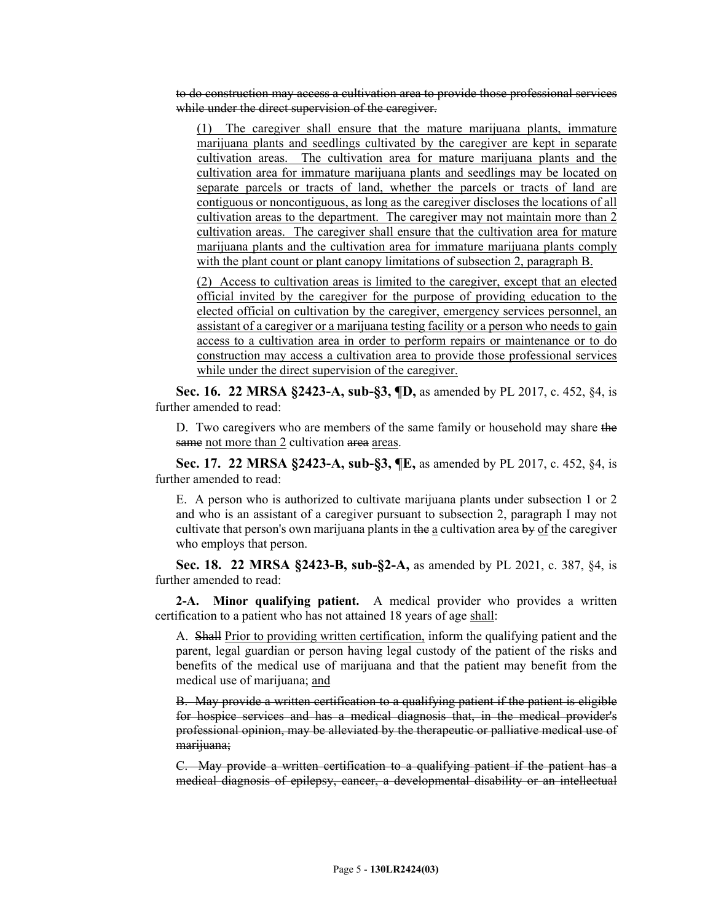to do construction may access a cultivation area to provide those professional services while under the direct supervision of the caregiver.

(1) The caregiver shall ensure that the mature marijuana plants, immature marijuana plants and seedlings cultivated by the caregiver are kept in separate cultivation areas. The cultivation area for mature marijuana plants and the cultivation area for immature marijuana plants and seedlings may be located on separate parcels or tracts of land, whether the parcels or tracts of land are contiguous or noncontiguous, as long as the caregiver discloses the locations of all cultivation areas to the department. The caregiver may not maintain more than 2 cultivation areas. The caregiver shall ensure that the cultivation area for mature marijuana plants and the cultivation area for immature marijuana plants comply with the plant count or plant canopy limitations of subsection 2, paragraph B.

(2) Access to cultivation areas is limited to the caregiver, except that an elected official invited by the caregiver for the purpose of providing education to the elected official on cultivation by the caregiver, emergency services personnel, an assistant of a caregiver or a marijuana testing facility or a person who needs to gain access to a cultivation area in order to perform repairs or maintenance or to do construction may access a cultivation area to provide those professional services while under the direct supervision of the caregiver.

**Sec. 16. 22 MRSA §2423-A, sub-§3, ¶D,** as amended by PL 2017, c. 452, §4, is further amended to read:

D. Two caregivers who are members of the same family or household may share the same not more than 2 cultivation area areas.

**Sec. 17. 22 MRSA §2423-A, sub-§3, ¶E,** as amended by PL 2017, c. 452, §4, is further amended to read:

E. A person who is authorized to cultivate marijuana plants under subsection 1 or 2 and who is an assistant of a caregiver pursuant to subsection 2, paragraph I may not cultivate that person's own marijuana plants in the a cultivation area by of the caregiver who employs that person.

**Sec. 18. 22 MRSA §2423-B, sub-§2-A,** as amended by PL 2021, c. 387, §4, is further amended to read:

**2-A. Minor qualifying patient.** A medical provider who provides a written certification to a patient who has not attained 18 years of age shall:

A. Shall Prior to providing written certification, inform the qualifying patient and the parent, legal guardian or person having legal custody of the patient of the risks and benefits of the medical use of marijuana and that the patient may benefit from the medical use of marijuana; and

B. May provide a written certification to a qualifying patient if the patient is eligible for hospice services and has a medical diagnosis that, in the medical provider's professional opinion, may be alleviated by the therapeutic or palliative medical use of marijuana;

C. May provide a written certification to a qualifying patient if the patient has a medical diagnosis of epilepsy, cancer, a developmental disability or an intellectual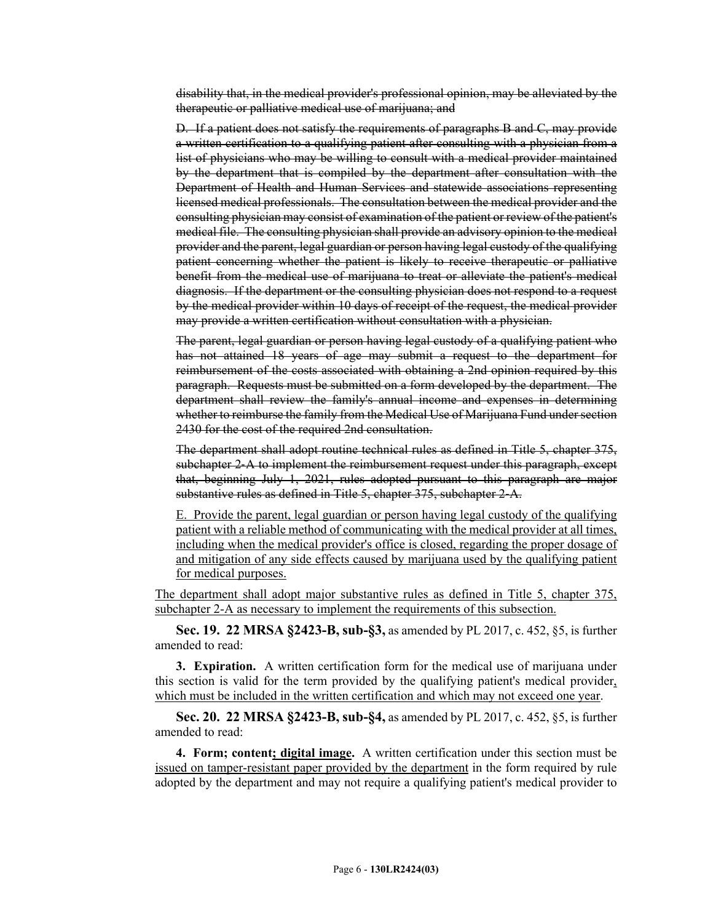disability that, in the medical provider's professional opinion, may be alleviated by the therapeutic or palliative medical use of marijuana; and

D. If a patient does not satisfy the requirements of paragraphs B and C, may provide a written certification to a qualifying patient after consulting with a physician from a list of physicians who may be willing to consult with a medical provider maintained by the department that is compiled by the department after consultation with the Department of Health and Human Services and statewide associations representing licensed medical professionals. The consultation between the medical provider and the consulting physician may consist of examination of the patient or review of the patient's medical file. The consulting physician shall provide an advisory opinion to the medical provider and the parent, legal guardian or person having legal custody of the qualifying patient concerning whether the patient is likely to receive therapeutic or palliative benefit from the medical use of marijuana to treat or alleviate the patient's medical diagnosis. If the department or the consulting physician does not respond to a request by the medical provider within 10 days of receipt of the request, the medical provider may provide a written certification without consultation with a physician.

The parent, legal guardian or person having legal custody of a qualifying patient who has not attained 18 years of age may submit a request to the department for reimbursement of the costs associated with obtaining a 2nd opinion required by this paragraph. Requests must be submitted on a form developed by the department. The department shall review the family's annual income and expenses in determining whether to reimburse the family from the Medical Use of Marijuana Fund under section 2430 for the cost of the required 2nd consultation.

The department shall adopt routine technical rules as defined in Title 5, chapter 375, subchapter 2‑A to implement the reimbursement request under this paragraph, except that, beginning July 1, 2021, rules adopted pursuant to this paragraph are major substantive rules as defined in Title 5, chapter 375, subchapter 2‑A.

E. Provide the parent, legal guardian or person having legal custody of the qualifying patient with a reliable method of communicating with the medical provider at all times, including when the medical provider's office is closed, regarding the proper dosage of and mitigation of any side effects caused by marijuana used by the qualifying patient for medical purposes.

The department shall adopt major substantive rules as defined in Title 5, chapter 375, subchapter 2-A as necessary to implement the requirements of this subsection.

**Sec. 19. 22 MRSA §2423-B, sub-§3,** as amended by PL 2017, c. 452, §5, is further amended to read:

**3. Expiration.** A written certification form for the medical use of marijuana under this section is valid for the term provided by the qualifying patient's medical provider, which must be included in the written certification and which may not exceed one year.

**Sec. 20. 22 MRSA §2423-B, sub-§4,** as amended by PL 2017, c. 452, §5, is further amended to read:

**4. Form; content; digital image.** A written certification under this section must be issued on tamper-resistant paper provided by the department in the form required by rule adopted by the department and may not require a qualifying patient's medical provider to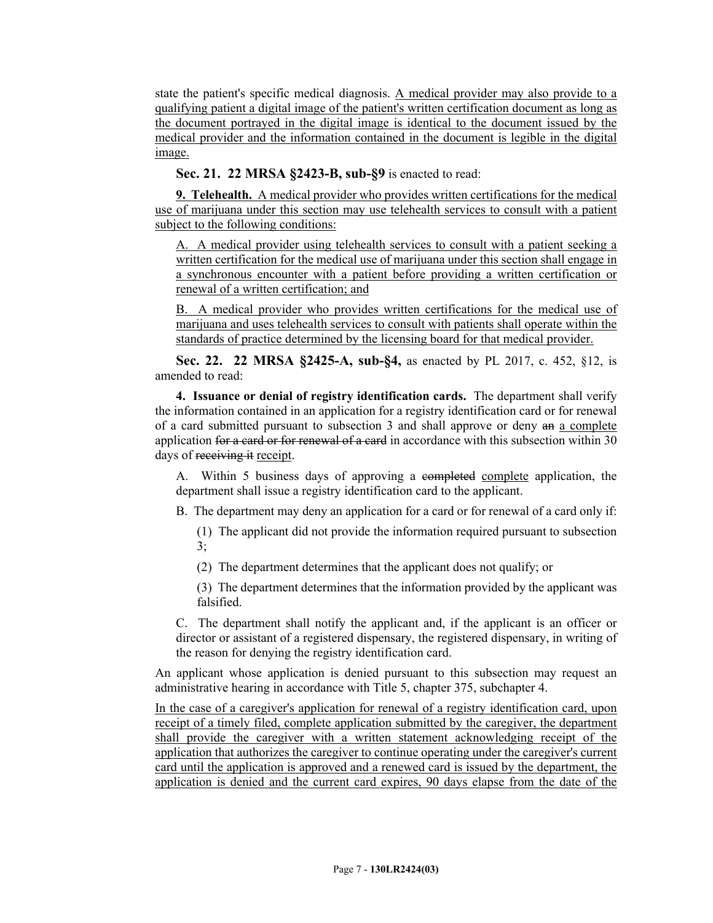state the patient's specific medical diagnosis. A medical provider may also provide to a qualifying patient a digital image of the patient's written certification document as long as the document portrayed in the digital image is identical to the document issued by the medical provider and the information contained in the document is legible in the digital image.

**Sec. 21. 22 MRSA §2423-B, sub-§9** is enacted to read:

**9. Telehealth.** A medical provider who provides written certifications for the medical use of marijuana under this section may use telehealth services to consult with a patient subject to the following conditions:

A. A medical provider using telehealth services to consult with a patient seeking a written certification for the medical use of marijuana under this section shall engage in a synchronous encounter with a patient before providing a written certification or renewal of a written certification; and

B. A medical provider who provides written certifications for the medical use of marijuana and uses telehealth services to consult with patients shall operate within the standards of practice determined by the licensing board for that medical provider.

**Sec. 22. 22 MRSA §2425-A, sub-§4,** as enacted by PL 2017, c. 452, §12, is amended to read:

**4. Issuance or denial of registry identification cards.** The department shall verify the information contained in an application for a registry identification card or for renewal of a card submitted pursuant to subsection 3 and shall approve or deny an a complete application for a card or for renewal of a card in accordance with this subsection within 30 days of receiving it receipt.

A. Within 5 business days of approving a completed complete application, the department shall issue a registry identification card to the applicant.

B. The department may deny an application for a card or for renewal of a card only if:

(1) The applicant did not provide the information required pursuant to subsection  $3:$ 

(2) The department determines that the applicant does not qualify; or

(3) The department determines that the information provided by the applicant was falsified.

C. The department shall notify the applicant and, if the applicant is an officer or director or assistant of a registered dispensary, the registered dispensary, in writing of the reason for denying the registry identification card.

An applicant whose application is denied pursuant to this subsection may request an administrative hearing in accordance with Title 5, chapter 375, subchapter 4.

In the case of a caregiver's application for renewal of a registry identification card, upon receipt of a timely filed, complete application submitted by the caregiver, the department shall provide the caregiver with a written statement acknowledging receipt of the application that authorizes the caregiver to continue operating under the caregiver's current card until the application is approved and a renewed card is issued by the department, the application is denied and the current card expires, 90 days elapse from the date of the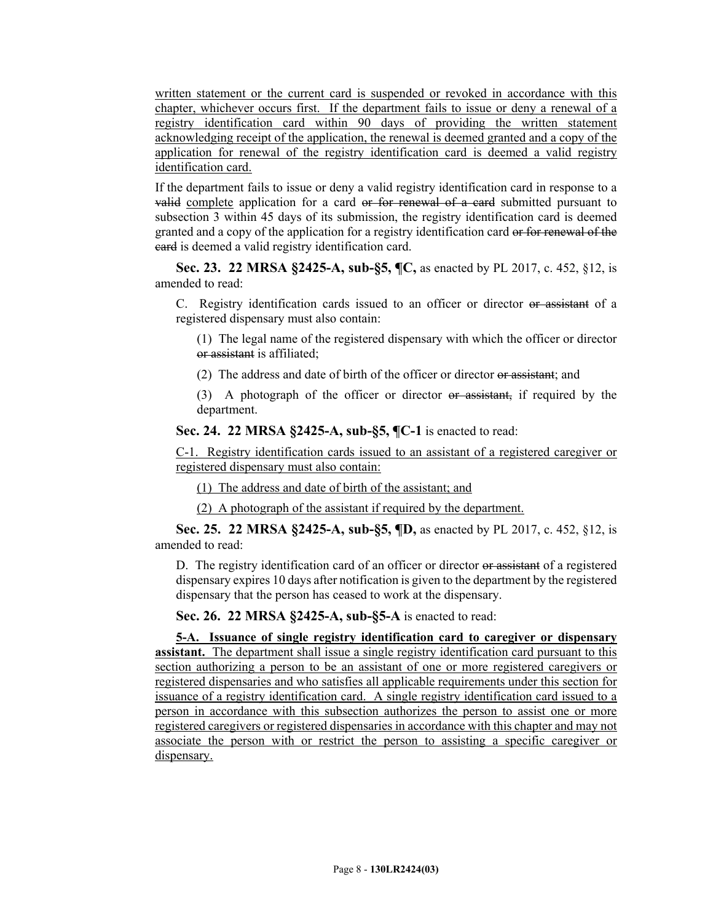written statement or the current card is suspended or revoked in accordance with this chapter, whichever occurs first. If the department fails to issue or deny a renewal of a registry identification card within 90 days of providing the written statement acknowledging receipt of the application, the renewal is deemed granted and a copy of the application for renewal of the registry identification card is deemed a valid registry identification card.

If the department fails to issue or deny a valid registry identification card in response to a valid complete application for a card or for renewal of a card submitted pursuant to subsection 3 within 45 days of its submission, the registry identification card is deemed granted and a copy of the application for a registry identification card or for renewal of the card is deemed a valid registry identification card.

**Sec. 23. 22 MRSA §2425-A, sub-§5, ¶C,** as enacted by PL 2017, c. 452, §12, is amended to read:

C. Registry identification cards issued to an officer or director or assistant of a registered dispensary must also contain:

(1) The legal name of the registered dispensary with which the officer or director or assistant is affiliated;

(2) The address and date of birth of the officer or director or assistant; and

(3) A photograph of the officer or director or assistant, if required by the department.

**Sec. 24. 22 MRSA §2425-A, sub-§5, ¶C-1** is enacted to read:

C-1. Registry identification cards issued to an assistant of a registered caregiver or registered dispensary must also contain:

(1) The address and date of birth of the assistant; and

(2) A photograph of the assistant if required by the department.

**Sec. 25. 22 MRSA §2425-A, sub-§5, ¶D,** as enacted by PL 2017, c. 452, §12, is amended to read:

D. The registry identification card of an officer or director or assistant of a registered dispensary expires 10 days after notification is given to the department by the registered dispensary that the person has ceased to work at the dispensary.

**Sec. 26. 22 MRSA §2425-A, sub-§5-A** is enacted to read:

**5-A. Issuance of single registry identification card to caregiver or dispensary assistant.** The department shall issue a single registry identification card pursuant to this section authorizing a person to be an assistant of one or more registered caregivers or registered dispensaries and who satisfies all applicable requirements under this section for issuance of a registry identification card. A single registry identification card issued to a person in accordance with this subsection authorizes the person to assist one or more registered caregivers or registered dispensaries in accordance with this chapter and may not associate the person with or restrict the person to assisting a specific caregiver or dispensary.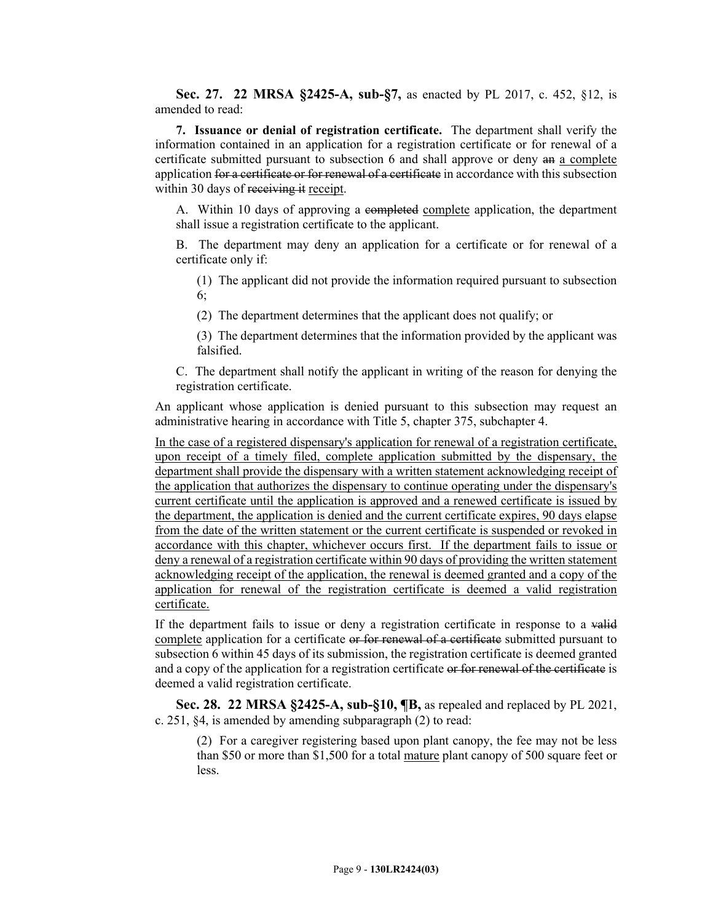**Sec. 27. 22 MRSA §2425-A, sub-§7,** as enacted by PL 2017, c. 452, §12, is amended to read:

**7. Issuance or denial of registration certificate.** The department shall verify the information contained in an application for a registration certificate or for renewal of a certificate submitted pursuant to subsection 6 and shall approve or deny an a complete application for a certificate or for renewal of a certificate in accordance with this subsection within 30 days of receiving it receipt.

A. Within 10 days of approving a completed complete application, the department shall issue a registration certificate to the applicant.

B. The department may deny an application for a certificate or for renewal of a certificate only if:

(1) The applicant did not provide the information required pursuant to subsection 6;

(2) The department determines that the applicant does not qualify; or

(3) The department determines that the information provided by the applicant was falsified.

C. The department shall notify the applicant in writing of the reason for denying the registration certificate.

An applicant whose application is denied pursuant to this subsection may request an administrative hearing in accordance with Title 5, chapter 375, subchapter 4.

In the case of a registered dispensary's application for renewal of a registration certificate, upon receipt of a timely filed, complete application submitted by the dispensary, the department shall provide the dispensary with a written statement acknowledging receipt of the application that authorizes the dispensary to continue operating under the dispensary's current certificate until the application is approved and a renewed certificate is issued by the department, the application is denied and the current certificate expires, 90 days elapse from the date of the written statement or the current certificate is suspended or revoked in accordance with this chapter, whichever occurs first. If the department fails to issue or deny a renewal of a registration certificate within 90 days of providing the written statement acknowledging receipt of the application, the renewal is deemed granted and a copy of the application for renewal of the registration certificate is deemed a valid registration certificate.

If the department fails to issue or deny a registration certificate in response to a valid complete application for a certificate or for renewal of a certificate submitted pursuant to subsection 6 within 45 days of its submission, the registration certificate is deemed granted and a copy of the application for a registration certificate or for renewal of the certificate is deemed a valid registration certificate.

**Sec. 28. 22 MRSA §2425-A, sub-§10, ¶B,** as repealed and replaced by PL 2021, c. 251, §4, is amended by amending subparagraph (2) to read:

(2) For a caregiver registering based upon plant canopy, the fee may not be less than \$50 or more than \$1,500 for a total mature plant canopy of 500 square feet or less.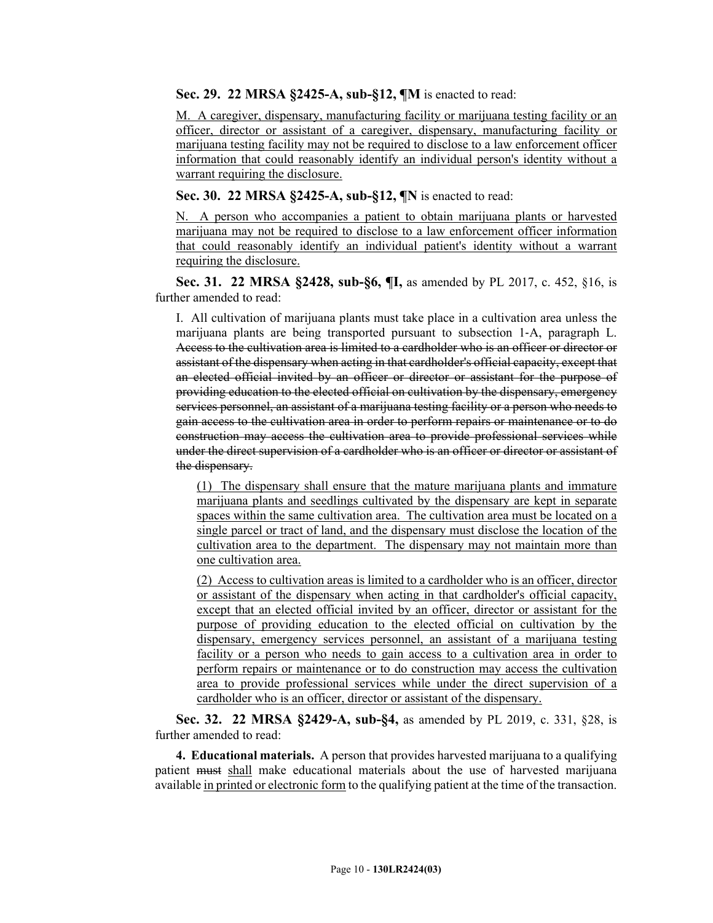**Sec. 29. 22 MRSA §2425-A, sub-§12, ¶M** is enacted to read:

M. A caregiver, dispensary, manufacturing facility or marijuana testing facility or an officer, director or assistant of a caregiver, dispensary, manufacturing facility or marijuana testing facility may not be required to disclose to a law enforcement officer information that could reasonably identify an individual person's identity without a warrant requiring the disclosure.

**Sec. 30. 22 MRSA §2425-A, sub-§12, ¶N** is enacted to read:

N. A person who accompanies a patient to obtain marijuana plants or harvested marijuana may not be required to disclose to a law enforcement officer information that could reasonably identify an individual patient's identity without a warrant requiring the disclosure.

**Sec. 31. 22 MRSA §2428, sub-§6, ¶I,** as amended by PL 2017, c. 452, §16, is further amended to read:

I. All cultivation of marijuana plants must take place in a cultivation area unless the marijuana plants are being transported pursuant to subsection 1‑A, paragraph L. Access to the cultivation area is limited to a cardholder who is an officer or director or assistant of the dispensary when acting in that cardholder's official capacity, except that an elected official invited by an officer or director or assistant for the purpose of providing education to the elected official on cultivation by the dispensary, emergency services personnel, an assistant of a marijuana testing facility or a person who needs to gain access to the cultivation area in order to perform repairs or maintenance or to do construction may access the cultivation area to provide professional services while under the direct supervision of a cardholder who is an officer or director or assistant of the dispensary.

(1) The dispensary shall ensure that the mature marijuana plants and immature marijuana plants and seedlings cultivated by the dispensary are kept in separate spaces within the same cultivation area. The cultivation area must be located on a single parcel or tract of land, and the dispensary must disclose the location of the cultivation area to the department. The dispensary may not maintain more than one cultivation area.

(2) Access to cultivation areas is limited to a cardholder who is an officer, director or assistant of the dispensary when acting in that cardholder's official capacity, except that an elected official invited by an officer, director or assistant for the purpose of providing education to the elected official on cultivation by the dispensary, emergency services personnel, an assistant of a marijuana testing facility or a person who needs to gain access to a cultivation area in order to perform repairs or maintenance or to do construction may access the cultivation area to provide professional services while under the direct supervision of a cardholder who is an officer, director or assistant of the dispensary.

**Sec. 32. 22 MRSA §2429-A, sub-§4,** as amended by PL 2019, c. 331, §28, is further amended to read:

**4. Educational materials.** A person that provides harvested marijuana to a qualifying patient must shall make educational materials about the use of harvested marijuana available in printed or electronic form to the qualifying patient at the time of the transaction.